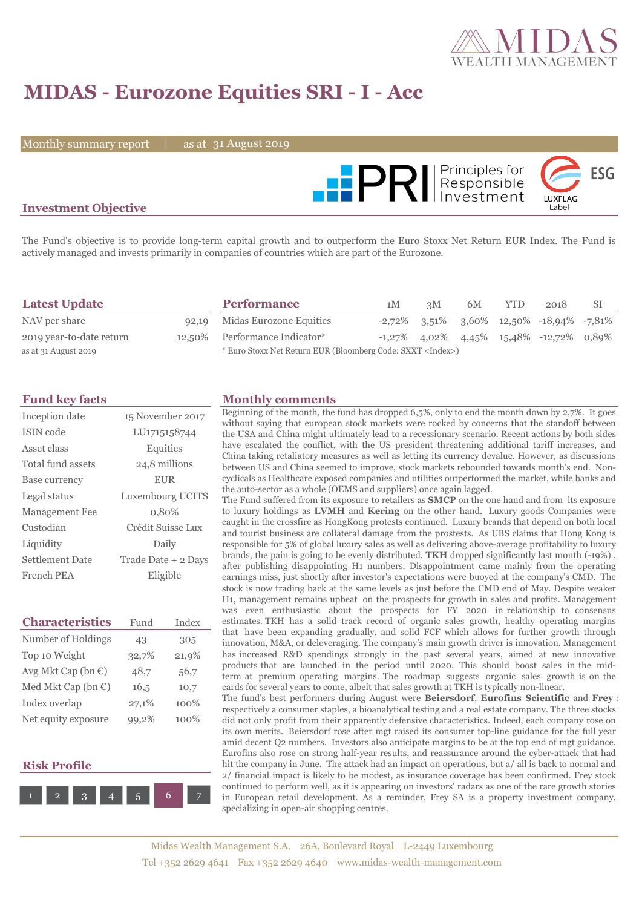

# **MIDAS - Eurozone Equities SRI - I - Acc**

Monthly summary report  $\|$ 

31 August 2019



### **Investment Objective**

The Fund's objective is to provide long-term capital growth and to outperform the Euro Stoxx Net Return EUR Index. The Fund is actively managed and invests primarily in companies of countries which are part of the Eurozone.

| <b>Latest Update</b>     | <b>Performance</b>                                                 | 1M | 3M | 6M | <b>YTD</b> | 2018                                              | SI |
|--------------------------|--------------------------------------------------------------------|----|----|----|------------|---------------------------------------------------|----|
| NAV per share            | 92,19 Midas Eurozone Equities                                      |    |    |    |            | $-2,72\%$ 3,51% 3,60% 12,50% $-18,94\%$ $-7,81\%$ |    |
| 2019 year-to-date return | 12,50% Performance Indicator*                                      |    |    |    |            | $-1,27\%$ 4,02\% 4,45\% 15,48\% $-12,72\%$ 0,89\% |    |
| as at 31 August 2019     | * Euro Stoxx Net Return EUR (Bloomberg Code: SXXT <index>)</index> |    |    |    |            |                                                   |    |

| Inception date        | 15 November 2017    |
|-----------------------|---------------------|
| ISIN code             | LU1715158744        |
| Asset class           | Equities            |
| Total fund assets     | 24,8 millions       |
| Base currency         | <b>EUR</b>          |
| Legal status          | Luxembourg UCITS    |
| <b>Management Fee</b> | 0.80%               |
| Custodian             | Crédit Suisse Lux   |
| Liquidity             | Daily               |
| Settlement Date       | Trade Date + 2 Days |
| French PEA            | Eligible            |

| <b>Characteristics</b>         | Fund  | Index |  |
|--------------------------------|-------|-------|--|
| Number of Holdings             | 43    | 305   |  |
| Top 10 Weight                  | 32,7% | 21,9% |  |
| Avg Mkt Cap (bn $\mathbb{C}$ ) | 48,7  | 56,7  |  |
| Med Mkt Cap (bn $\epsilon$ )   | 16,5  | 10,7  |  |
| Index overlap                  | 27,1% | 100%  |  |
| Net equity exposure            | 99.2% | 100%  |  |

### **Risk Profile**



#### **Fund key facts Monthly comments**

Beginning of the month, the fund has dropped 6,5%, only to end the month down by 2,7%. It goes without saying that european stock markets were rocked by concerns that the standoff between the USA and China might ultimately lead to a recessionary scenario. Recent actions by both sides have escalated the conflict, with the US president threatening additional tariff increases, and China taking retaliatory measures as well as letting its currency devalue. However, as discussions between US and China seemed to improve, stock markets rebounded towards month's end. Noncyclicals as Healthcare exposed companies and utilities outperformed the market, while banks and the auto-sector as a whole (OEMS and suppliers) once again lagged.

The Fund suffered from its exposure to retailers as **SMCP** on the one hand and from its exposure to luxury holdings as **LVMH** and **Kering** on the other hand. Luxury goods Companies were caught in the crossfire as HongKong protests continued. Luxury brands that depend on both local and tourist business are collateral damage from the prostests. As UBS claims that Hong Kong is responsible for 5% of global luxury sales as well as delivering above-average profitability to luxury brands, the pain is going to be evenly distributed. **TKH** dropped significantly last month (-19%) , after publishing disappointing H1 numbers. Disappointment came mainly from the operating earnings miss, just shortly after investor's expectations were buoyed at the company's CMD. The stock is now trading back at the same levels as just before the CMD end of May. Despite weaker H1, management remains upbeat on the prospects for growth in sales and profits. Management was even enthusiastic about the prospects for FY 2020 in relationship to consensus estimates. TKH has a solid track record of organic sales growth, healthy operating margins that have been expanding gradually, and solid FCF which allows for further growth through innovation, M&A, or deleveraging. The company's main growth driver is innovation. Management has increased R&D spendings strongly in the past several years, aimed at new innovative products that are launched in the period until 2020. This should boost sales in the midterm at premium operating margins. The roadmap suggests organic sales growth is on the cards for several years to come, albeit that sales growth at TKH is typically non-linear. The fund's best performers during August were **Beiersdorf**, **Eurofins Scientific** and **Frey** : respectively a consumer staples, a bioanalytical testing and a real estate company. The three stocks did not only profit from their apparently defensive characteristics. Indeed, each company rose on its own merits. Beiersdorf rose after mgt raised its consumer top-line guidance for the full year

amid decent Q2 numbers. Investors also anticipate margins to be at the top end of mgt guidance. Eurofins also rose on strong half-year results, and reassurance around the cyber-attack that had hit the company in June. The attack had an impact on operations, but a/ all is back to normal and 2/ financial impact is likely to be modest, as insurance coverage has been confirmed. Frey stock continued to perform well, as it is appearing on investors' radars as one of the rare growth stories in European retail development. As a reminder, Frey SA is a property investment company, specializing in open-air shopping centres.